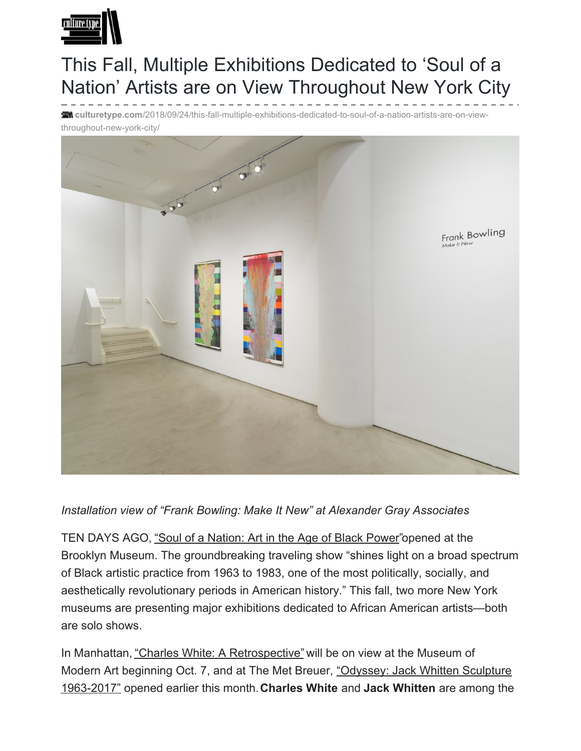

## This Fall, Multiple Exhibitions Dedicated to 'Soul of a Nation' Artists are on View Throughout New York City

**culturetype.com**[/2018/09/24/this-fall-multiple-exhibitions-dedicated-to-soul-of-a-nation-artists-are-on-view](https://www.culturetype.com/2018/09/24/this-fall-multiple-exhibitions-dedicated-to-soul-of-a-nation-artists-are-on-view-throughout-new-york-city/)throughout-new-york-city/



*Installation view of "Frank Bowling: Make It New" at Alexander Gray Associates*

TEN DAYS AGO, ["Soul of a Nation: Art in the Age of Black Power](https://www.brooklynmuseum.org/exhibitions/soul_of_a_nation)" opened at the Brooklyn Museum. The groundbreaking traveling show "shines light on a broad spectrum of Black artistic practice from 1963 to 1983, one of the most politically, socially, and aesthetically revolutionary periods in American history." This fall, two more New York museums are presenting major exhibitions dedicated to African American artists—both are solo shows.

In Manhattan, ["Charles White: A Retrospective"](https://www.moma.org/calendar/exhibitions/3930) will be on view at the Museum of [Modern Art beginning Oct. 7, and at The Met Breuer, "Odyssey: Jack Whitten Sculpture](https://www.metmuseum.org/exhibitions/listings/2018/odyssey-jack-whitten-sculpture) 1963-2017" opened earlier this month. **Charles White** and **Jack Whitten** are among the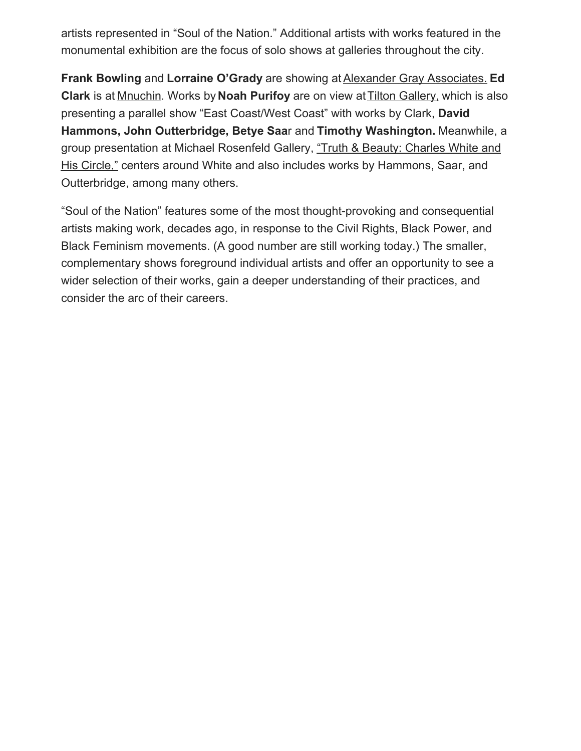artists represented in "Soul of the Nation." Additional artists with works featured in the monumental exhibition are the focus of solo shows at galleries throughout the city.

**Frank Bowling** and **Lorraine O'Grady** are showing at [Alexander Gray Associates.](http://www.alexandergray.com/exhibitions) **Ed Clark** is at [Mnuchin](http://www.mnuchingallery.com/exhibitions/ed-clark). Works by **Noah Purifoy** are on view at [Tilton Gallery,](http://www.jacktiltongallery.com/content/5.exhibitions/3.current/Press Release.pdf) which is also presenting a parallel show "East Coast/West Coast" with works by Clark, **David Hammons, John Outterbridge, Betye Saa**r and **Timothy Washington.** Meanwhile, a [group presentation at Michael Rosenfeld Gallery, "Truth & Beauty: Charles White and](http://www.michaelrosenfeldart.com/exhibitions/truth-and-beauty-charles-white-and-his-circle) His Circle," centers around White and also includes works by Hammons, Saar, and Outterbridge, among many others.

"Soul of the Nation" features some of the most thought-provoking and consequential artists making work, decades ago, in response to the Civil Rights, Black Power, and Black Feminism movements. (A good number are still working today.) The smaller, complementary shows foreground individual artists and offer an opportunity to see a wider selection of their works, gain a deeper understanding of their practices, and consider the arc of their careers.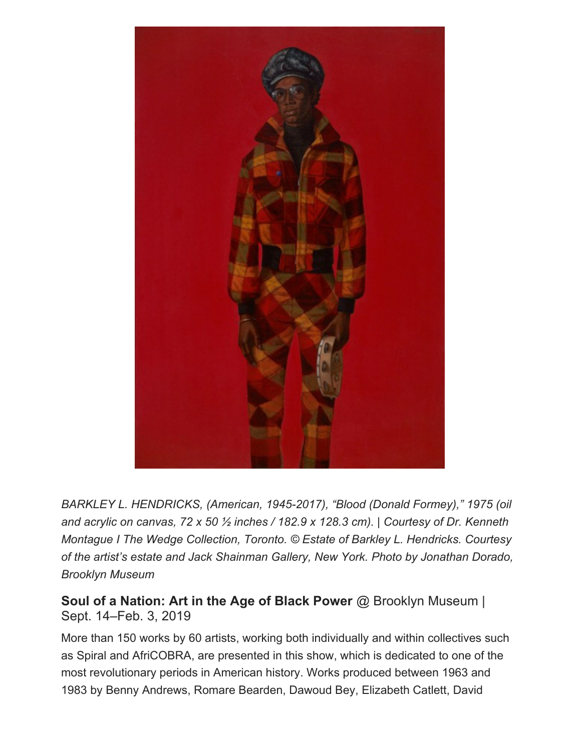

*BARKLEY L. HENDRICKS, (American, 1945-2017), "Blood (Donald Formey)," 1975 (oil and acrylic on canvas, 72 x 50 ½ inches / 182.9 x 128.3 cm). | Courtesy of Dr. Kenneth Montague I The Wedge Collection, Toronto. © Estate of Barkley L. Hendricks. Courtesy of the artist's estate and Jack Shainman Gallery, New York. Photo by Jonathan Dorado, Brooklyn Museum*

**[Soul of a Nation: Art in the Age of Black Power](https://www.brooklynmuseum.org/exhibitions/soul_of_a_nation)** @ Brooklyn Museum | Sept. 14–Feb. 3, 2019

More than 150 works by 60 artists, working both individually and within collectives such as Spiral and AfriCOBRA, are presented in this show, which is dedicated to one of the most revolutionary periods in American history. Works produced between 1963 and 1983 by Benny Andrews, Romare Bearden, Dawoud Bey, Elizabeth Catlett, David